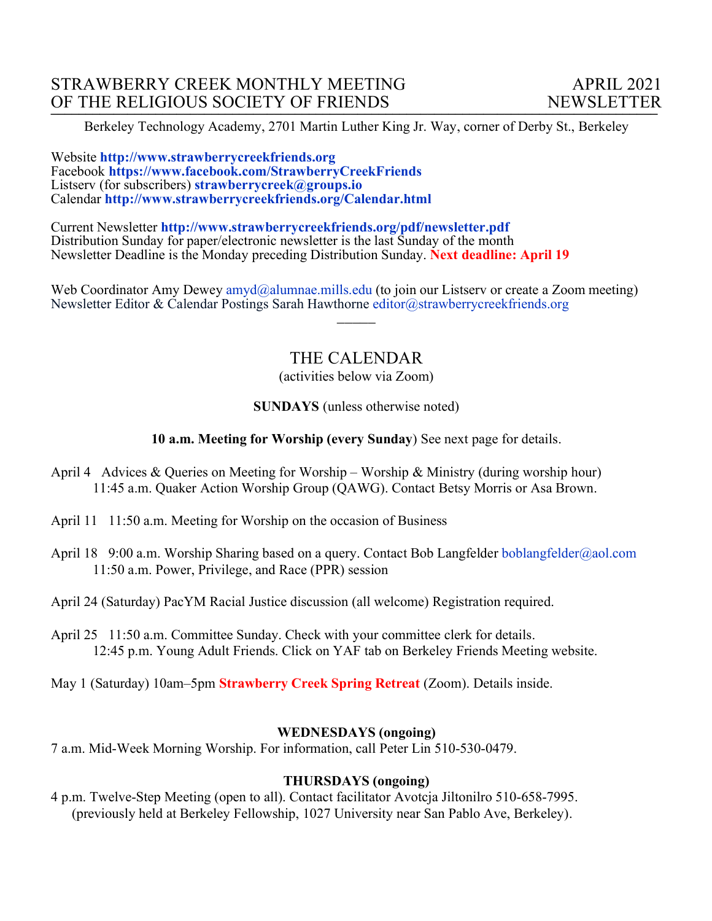Berkeley Technology Academy, 2701 Martin Luther King Jr. Way, corner of Derby St., Berkeley

Website **http://www.strawberrycreekfriends.org**  Facebook **https://www.facebook.com/StrawberryCreekFriends** Listserv (for subscribers) **strawberrycreek@groups.io** Calendar **http://www.strawberrycreekfriends.org/Calendar.html**

Current Newsletter **http://www.strawberrycreekfriends.org/pdf/newsletter.pdf** Distribution Sunday for paper/electronic newsletter is the last Sunday of the month Newsletter Deadline is the Monday preceding Distribution Sunday. **Next deadline: April 19**

Web Coordinator Amy Dewey amyd@alumnae.mills.edu (to join our Listsery or create a Zoom meeting) Newsletter Editor & Calendar Postings Sarah Hawthorne editor@strawberrycreekfriends.org

# THE CALENDAR

 $\overline{\phantom{a}}$ 

(activities below via Zoom)

#### **SUNDAYS** (unless otherwise noted)

#### **10 a.m. Meeting for Worship (every Sunday**) See next page for details.

- April 4 Advices & Queries on Meeting for Worship Worship & Ministry (during worship hour) 11:45 a.m. Quaker Action Worship Group (QAWG). Contact Betsy Morris or Asa Brown.
- April 11 11:50 a.m. Meeting for Worship on the occasion of Business
- April 18 9:00 a.m. Worship Sharing based on a query. Contact Bob Langfelder boblangfelder@aol.com 11:50 a.m. Power, Privilege, and Race (PPR) session

April 24 (Saturday) PacYM Racial Justice discussion (all welcome) Registration required.

- April 25 11:50 a.m. Committee Sunday. Check with your committee clerk for details. 12:45 p.m. Young Adult Friends. Click on YAF tab on Berkeley Friends Meeting website.
- May 1 (Saturday) 10am–5pm **Strawberry Creek Spring Retreat** (Zoom). Details inside.

#### **WEDNESDAYS (ongoing)**

7 a.m. Mid-Week Morning Worship. For information, call Peter Lin 510-530-0479.

#### **THURSDAYS (ongoing)**

4 p.m. Twelve-Step Meeting (open to all). Contact facilitator Avotcja Jiltonilro 510-658-7995. (previously held at Berkeley Fellowship, 1027 University near San Pablo Ave, Berkeley).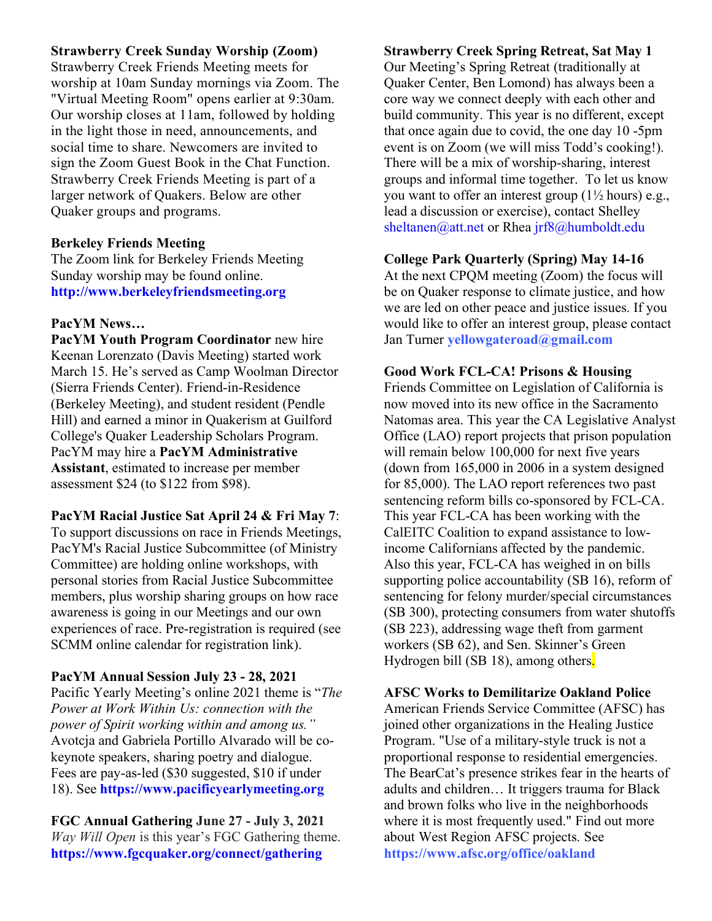## **Strawberry Creek Sunday Worship (Zoom)**

Strawberry Creek Friends Meeting meets for worship at 10am Sunday mornings via Zoom. The "Virtual Meeting Room" opens earlier at 9:30am. Our worship closes at 11am, followed by holding in the light those in need, announcements, and social time to share. Newcomers are invited to sign the Zoom Guest Book in the Chat Function. Strawberry Creek Friends Meeting is part of a larger network of Quakers. Below are other Quaker groups and programs.

#### **Berkeley Friends Meeting**

The Zoom link for Berkeley Friends Meeting Sunday worship may be found online. **http://www.berkeleyfriendsmeeting.org**

#### **PacYM News…**

**PacYM Youth Program Coordinator** new hire Keenan Lorenzato (Davis Meeting) started work March 15. He's served as Camp Woolman Director (Sierra Friends Center). Friend-in-Residence (Berkeley Meeting), and student resident (Pendle Hill) and earned a minor in Quakerism at Guilford College's Quaker Leadership Scholars Program. PacYM may hire a **PacYM Administrative Assistant**, estimated to increase per member assessment \$24 (to \$122 from \$98).

## **PacYM Racial Justice Sat April 24 & Fri May 7**:

To support discussions on race in Friends Meetings, PacYM's Racial Justice Subcommittee (of Ministry Committee) are holding online workshops, with personal stories from Racial Justice Subcommittee members, plus worship sharing groups on how race awareness is going in our Meetings and our own experiences of race. Pre-registration is required (see SCMM online calendar for registration link).

## **PacYM Annual Session July 23 - 28, 2021**

Pacific Yearly Meeting's online 2021 theme is "*The Power at Work Within Us: connection with the power of Spirit working within and among us."* Avotcja and Gabriela Portillo Alvarado will be cokeynote speakers, sharing poetry and dialogue. Fees are pay-as-led (\$30 suggested, \$10 if under 18). See **https://www.pacificyearlymeeting.org**

**FGC Annual Gathering June 27 - July 3, 2021** *Way Will Open* is this year's FGC Gathering theme. **https://www.fgcquaker.org/connect/gathering**

## **Strawberry Creek Spring Retreat, Sat May 1**

Our Meeting's Spring Retreat (traditionally at Quaker Center, Ben Lomond) has always been a core way we connect deeply with each other and build community. This year is no different, except that once again due to covid, the one day 10 -5pm event is on Zoom (we will miss Todd's cooking!). There will be a mix of worship-sharing, interest groups and informal time together. To let us know you want to offer an interest group  $(1\frac{1}{2})$  hours) e.g., lead a discussion or exercise), contact Shelley sheltanen@att.net or Rhea jrf8@humboldt.edu

#### **College Park Quarterly (Spring) May 14-16**

At the next CPQM meeting (Zoom) the focus will be on Quaker response to climate justice, and how we are led on other peace and justice issues. If you would like to offer an interest group, please contact Jan Turner **yellowgateroad@gmail.com**

#### **Good Work FCL-CA! Prisons & Housing**

Friends Committee on Legislation of California is now moved into its new office in the Sacramento Natomas area. This year the CA Legislative Analyst Office (LAO) report projects that prison population will remain below 100,000 for next five years (down from 165,000 in 2006 in a system designed for 85,000). The LAO report references two past sentencing reform bills co-sponsored by FCL-CA. This year FCL-CA has been working with the CalEITC Coalition to expand assistance to lowincome Californians affected by the pandemic. Also this year, FCL-CA has weighed in on bills supporting police accountability (SB 16), reform of sentencing for felony murder/special circumstances (SB 300), protecting consumers from water shutoffs (SB 223), addressing wage theft from garment workers (SB 62), and Sen. Skinner's Green Hydrogen bill (SB 18), among others.

## **AFSC Works to Demilitarize Oakland Police**

American Friends Service Committee (AFSC) has joined other organizations in the Healing Justice Program. "Use of a military-style truck is not a proportional response to residential emergencies. The BearCat's presence strikes fear in the hearts of adults and children… It triggers trauma for Black and brown folks who live in the neighborhoods where it is most frequently used." Find out more about West Region AFSC projects. See **https://www.afsc.org/office/oakland**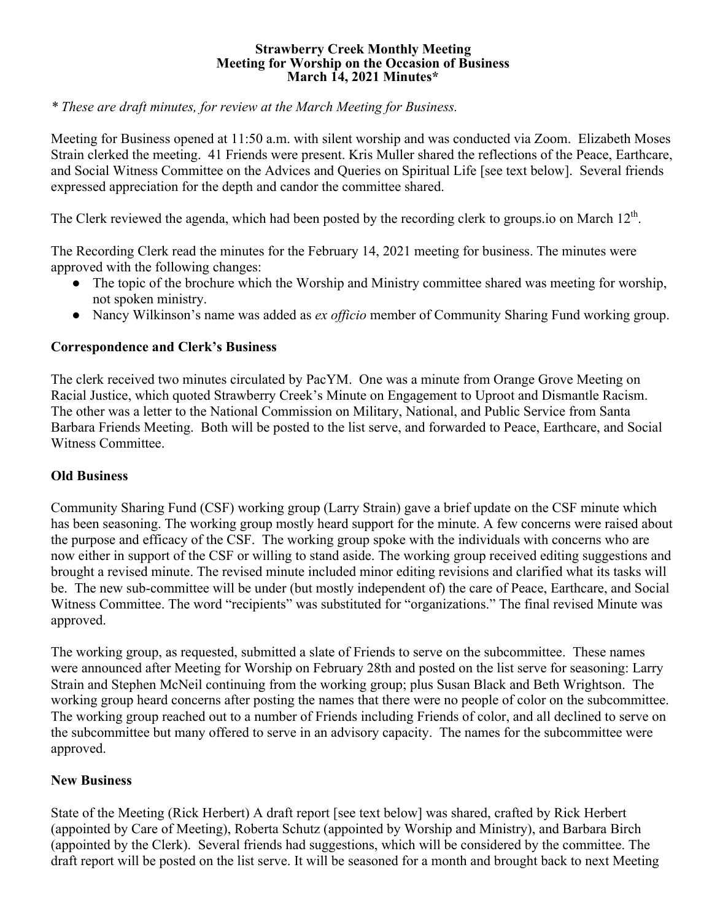#### **Strawberry Creek Monthly Meeting Meeting for Worship on the Occasion of Business March 14, 2021 Minutes\***

*\* These are draft minutes, for review at the March Meeting for Business.*

Meeting for Business opened at 11:50 a.m. with silent worship and was conducted via Zoom. Elizabeth Moses Strain clerked the meeting. 41 Friends were present. Kris Muller shared the reflections of the Peace, Earthcare, and Social Witness Committee on the Advices and Queries on Spiritual Life [see text below]. Several friends expressed appreciation for the depth and candor the committee shared.

The Clerk reviewed the agenda, which had been posted by the recording clerk to groups.io on March 12<sup>th</sup>.

The Recording Clerk read the minutes for the February 14, 2021 meeting for business. The minutes were approved with the following changes:

- The topic of the brochure which the Worship and Ministry committee shared was meeting for worship, not spoken ministry.
- Nancy Wilkinson's name was added as *ex officio* member of Community Sharing Fund working group.

#### **Correspondence and Clerk's Business**

The clerk received two minutes circulated by PacYM. One was a minute from Orange Grove Meeting on Racial Justice, which quoted Strawberry Creek's Minute on Engagement to Uproot and Dismantle Racism. The other was a letter to the National Commission on Military, National, and Public Service from Santa Barbara Friends Meeting. Both will be posted to the list serve, and forwarded to Peace, Earthcare, and Social Witness Committee.

#### **Old Business**

Community Sharing Fund (CSF) working group (Larry Strain) gave a brief update on the CSF minute which has been seasoning. The working group mostly heard support for the minute. A few concerns were raised about the purpose and efficacy of the CSF. The working group spoke with the individuals with concerns who are now either in support of the CSF or willing to stand aside. The working group received editing suggestions and brought a revised minute. The revised minute included minor editing revisions and clarified what its tasks will be. The new sub-committee will be under (but mostly independent of) the care of Peace, Earthcare, and Social Witness Committee. The word "recipients" was substituted for "organizations." The final revised Minute was approved.

The working group, as requested, submitted a slate of Friends to serve on the subcommittee. These names were announced after Meeting for Worship on February 28th and posted on the list serve for seasoning: Larry Strain and Stephen McNeil continuing from the working group; plus Susan Black and Beth Wrightson. The working group heard concerns after posting the names that there were no people of color on the subcommittee. The working group reached out to a number of Friends including Friends of color, and all declined to serve on the subcommittee but many offered to serve in an advisory capacity. The names for the subcommittee were approved.

## **New Business**

State of the Meeting (Rick Herbert) A draft report [see text below] was shared, crafted by Rick Herbert (appointed by Care of Meeting), Roberta Schutz (appointed by Worship and Ministry), and Barbara Birch (appointed by the Clerk). Several friends had suggestions, which will be considered by the committee. The draft report will be posted on the list serve. It will be seasoned for a month and brought back to next Meeting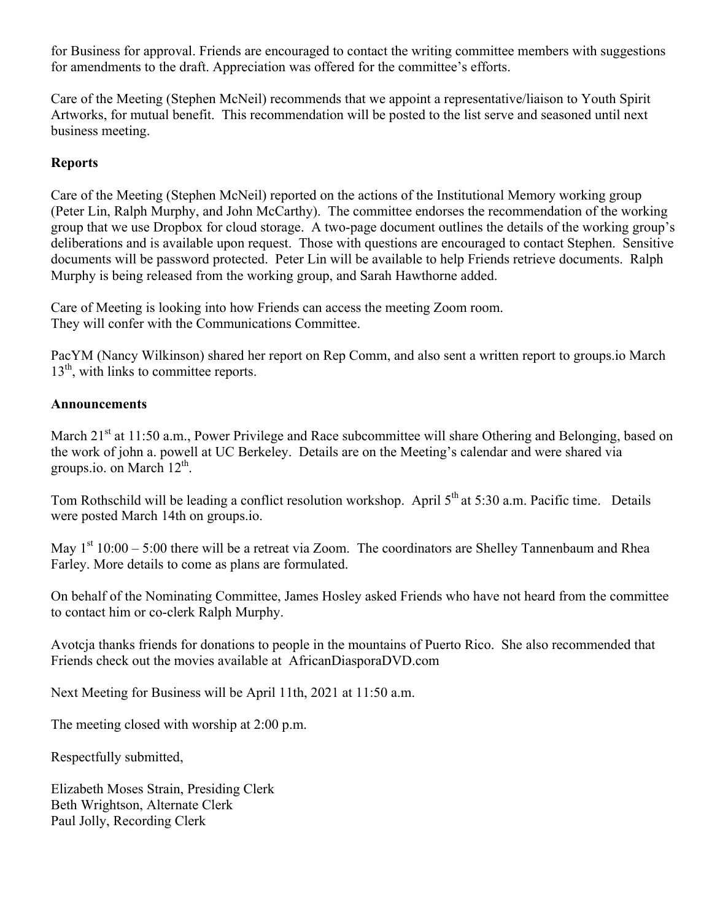for Business for approval. Friends are encouraged to contact the writing committee members with suggestions for amendments to the draft. Appreciation was offered for the committee's efforts.

Care of the Meeting (Stephen McNeil) recommends that we appoint a representative/liaison to Youth Spirit Artworks, for mutual benefit. This recommendation will be posted to the list serve and seasoned until next business meeting.

## **Reports**

Care of the Meeting (Stephen McNeil) reported on the actions of the Institutional Memory working group (Peter Lin, Ralph Murphy, and John McCarthy). The committee endorses the recommendation of the working group that we use Dropbox for cloud storage. A two-page document outlines the details of the working group's deliberations and is available upon request. Those with questions are encouraged to contact Stephen. Sensitive documents will be password protected. Peter Lin will be available to help Friends retrieve documents. Ralph Murphy is being released from the working group, and Sarah Hawthorne added.

Care of Meeting is looking into how Friends can access the meeting Zoom room. They will confer with the Communications Committee.

PacYM (Nancy Wilkinson) shared her report on Rep Comm, and also sent a written report to groups.io March  $13<sup>th</sup>$ , with links to committee reports.

## **Announcements**

March 21<sup>st</sup> at 11:50 a.m., Power Privilege and Race subcommittee will share Othering and Belonging, based on the work of john a. powell at UC Berkeley. Details are on the Meeting's calendar and were shared via groups.io. on March  $12^{th}$ .

Tom Rothschild will be leading a conflict resolution workshop. April 5<sup>th</sup> at 5:30 a.m. Pacific time. Details were posted March 14th on groups.io.

May  $1<sup>st</sup> 10:00 - 5:00$  there will be a retreat via Zoom. The coordinators are Shelley Tannenbaum and Rhea Farley. More details to come as plans are formulated.

On behalf of the Nominating Committee, James Hosley asked Friends who have not heard from the committee to contact him or co-clerk Ralph Murphy.

Avotcja thanks friends for donations to people in the mountains of Puerto Rico. She also recommended that Friends check out the movies available at AfricanDiasporaDVD.com

Next Meeting for Business will be April 11th, 2021 at 11:50 a.m.

The meeting closed with worship at 2:00 p.m.

Respectfully submitted,

Elizabeth Moses Strain, Presiding Clerk Beth Wrightson, Alternate Clerk Paul Jolly, Recording Clerk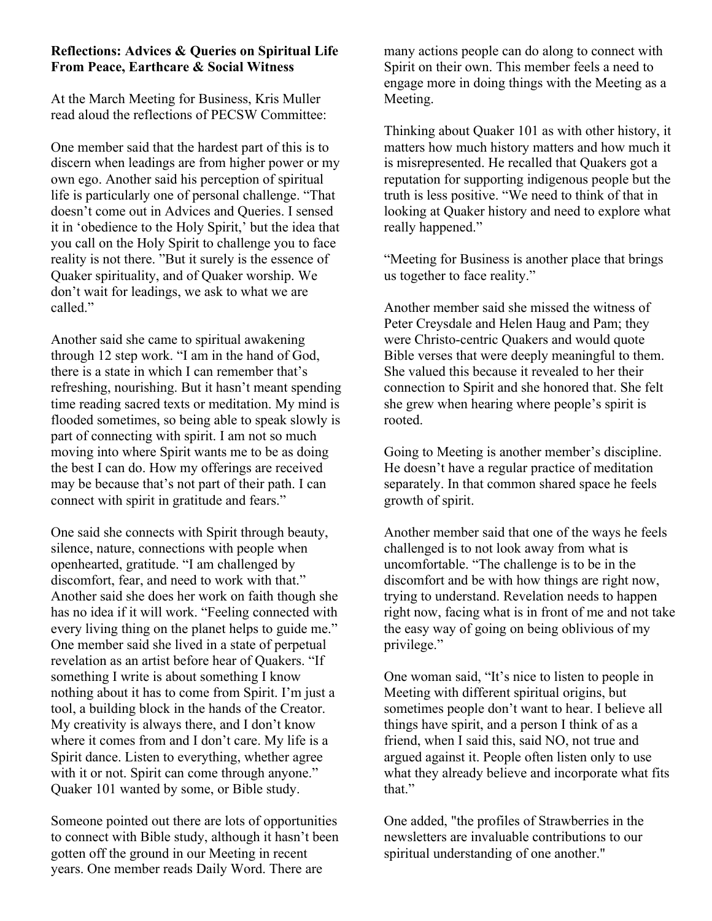## **Reflections: Advices & Queries on Spiritual Life From Peace, Earthcare & Social Witness**

At the March Meeting for Business, Kris Muller read aloud the reflections of PECSW Committee:

One member said that the hardest part of this is to discern when leadings are from higher power or my own ego. Another said his perception of spiritual life is particularly one of personal challenge. "That doesn't come out in Advices and Queries. I sensed it in 'obedience to the Holy Spirit,' but the idea that you call on the Holy Spirit to challenge you to face reality is not there. "But it surely is the essence of Quaker spirituality, and of Quaker worship. We don't wait for leadings, we ask to what we are called."

Another said she came to spiritual awakening through 12 step work. "I am in the hand of God, there is a state in which I can remember that's refreshing, nourishing. But it hasn't meant spending time reading sacred texts or meditation. My mind is flooded sometimes, so being able to speak slowly is part of connecting with spirit. I am not so much moving into where Spirit wants me to be as doing the best I can do. How my offerings are received may be because that's not part of their path. I can connect with spirit in gratitude and fears."

One said she connects with Spirit through beauty, silence, nature, connections with people when openhearted, gratitude. "I am challenged by discomfort, fear, and need to work with that." Another said she does her work on faith though she has no idea if it will work. "Feeling connected with every living thing on the planet helps to guide me." One member said she lived in a state of perpetual revelation as an artist before hear of Quakers. "If something I write is about something I know nothing about it has to come from Spirit. I'm just a tool, a building block in the hands of the Creator. My creativity is always there, and I don't know where it comes from and I don't care. My life is a Spirit dance. Listen to everything, whether agree with it or not. Spirit can come through anyone." Quaker 101 wanted by some, or Bible study.

Someone pointed out there are lots of opportunities to connect with Bible study, although it hasn't been gotten off the ground in our Meeting in recent years. One member reads Daily Word. There are

many actions people can do along to connect with Spirit on their own. This member feels a need to engage more in doing things with the Meeting as a Meeting.

Thinking about Quaker 101 as with other history, it matters how much history matters and how much it is misrepresented. He recalled that Quakers got a reputation for supporting indigenous people but the truth is less positive. "We need to think of that in looking at Quaker history and need to explore what really happened."

"Meeting for Business is another place that brings us together to face reality."

Another member said she missed the witness of Peter Creysdale and Helen Haug and Pam; they were Christo-centric Quakers and would quote Bible verses that were deeply meaningful to them. She valued this because it revealed to her their connection to Spirit and she honored that. She felt she grew when hearing where people's spirit is rooted.

Going to Meeting is another member's discipline. He doesn't have a regular practice of meditation separately. In that common shared space he feels growth of spirit.

Another member said that one of the ways he feels challenged is to not look away from what is uncomfortable. "The challenge is to be in the discomfort and be with how things are right now, trying to understand. Revelation needs to happen right now, facing what is in front of me and not take the easy way of going on being oblivious of my privilege."

One woman said, "It's nice to listen to people in Meeting with different spiritual origins, but sometimes people don't want to hear. I believe all things have spirit, and a person I think of as a friend, when I said this, said NO, not true and argued against it. People often listen only to use what they already believe and incorporate what fits that."

One added, "the profiles of Strawberries in the newsletters are invaluable contributions to our spiritual understanding of one another."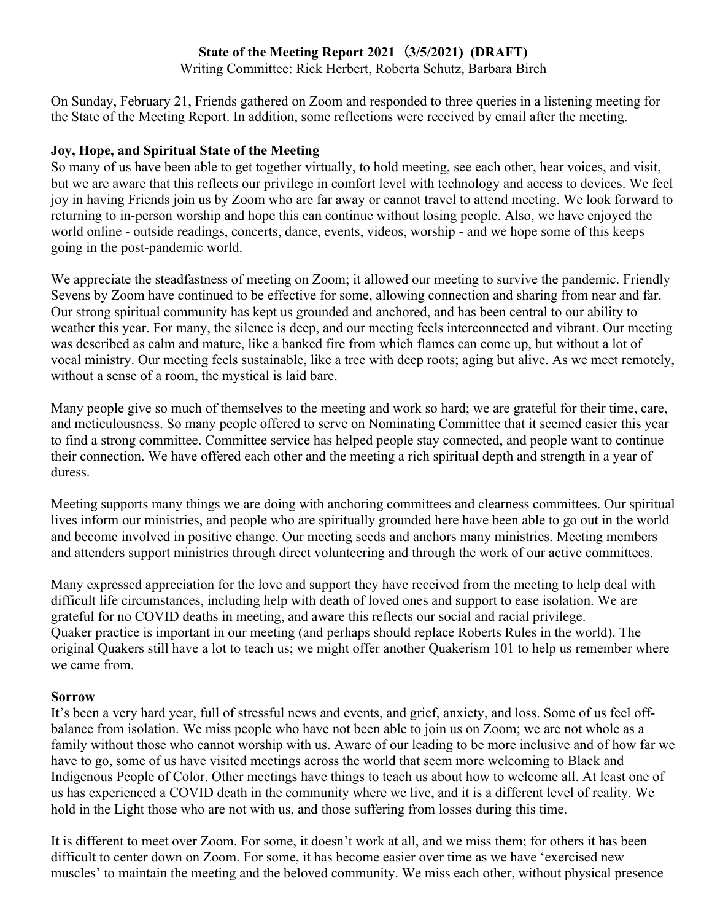# **State of the Meeting Report 2021**(**3/5/2021) (DRAFT)**

Writing Committee: Rick Herbert, Roberta Schutz, Barbara Birch

On Sunday, February 21, Friends gathered on Zoom and responded to three queries in a listening meeting for the State of the Meeting Report. In addition, some reflections were received by email after the meeting.

## **Joy, Hope, and Spiritual State of the Meeting**

So many of us have been able to get together virtually, to hold meeting, see each other, hear voices, and visit, but we are aware that this reflects our privilege in comfort level with technology and access to devices. We feel joy in having Friends join us by Zoom who are far away or cannot travel to attend meeting. We look forward to returning to in-person worship and hope this can continue without losing people. Also, we have enjoyed the world online - outside readings, concerts, dance, events, videos, worship - and we hope some of this keeps going in the post-pandemic world.

We appreciate the steadfastness of meeting on Zoom; it allowed our meeting to survive the pandemic. Friendly Sevens by Zoom have continued to be effective for some, allowing connection and sharing from near and far. Our strong spiritual community has kept us grounded and anchored, and has been central to our ability to weather this year. For many, the silence is deep, and our meeting feels interconnected and vibrant. Our meeting was described as calm and mature, like a banked fire from which flames can come up, but without a lot of vocal ministry. Our meeting feels sustainable, like a tree with deep roots; aging but alive. As we meet remotely, without a sense of a room, the mystical is laid bare.

Many people give so much of themselves to the meeting and work so hard; we are grateful for their time, care, and meticulousness. So many people offered to serve on Nominating Committee that it seemed easier this year to find a strong committee. Committee service has helped people stay connected, and people want to continue their connection. We have offered each other and the meeting a rich spiritual depth and strength in a year of duress.

Meeting supports many things we are doing with anchoring committees and clearness committees. Our spiritual lives inform our ministries, and people who are spiritually grounded here have been able to go out in the world and become involved in positive change. Our meeting seeds and anchors many ministries. Meeting members and attenders support ministries through direct volunteering and through the work of our active committees.

Many expressed appreciation for the love and support they have received from the meeting to help deal with difficult life circumstances, including help with death of loved ones and support to ease isolation. We are grateful for no COVID deaths in meeting, and aware this reflects our social and racial privilege. Quaker practice is important in our meeting (and perhaps should replace Roberts Rules in the world). The original Quakers still have a lot to teach us; we might offer another Quakerism 101 to help us remember where we came from.

## **Sorrow**

It's been a very hard year, full of stressful news and events, and grief, anxiety, and loss. Some of us feel offbalance from isolation. We miss people who have not been able to join us on Zoom; we are not whole as a family without those who cannot worship with us. Aware of our leading to be more inclusive and of how far we have to go, some of us have visited meetings across the world that seem more welcoming to Black and Indigenous People of Color. Other meetings have things to teach us about how to welcome all. At least one of us has experienced a COVID death in the community where we live, and it is a different level of reality. We hold in the Light those who are not with us, and those suffering from losses during this time.

It is different to meet over Zoom. For some, it doesn't work at all, and we miss them; for others it has been difficult to center down on Zoom. For some, it has become easier over time as we have 'exercised new muscles' to maintain the meeting and the beloved community. We miss each other, without physical presence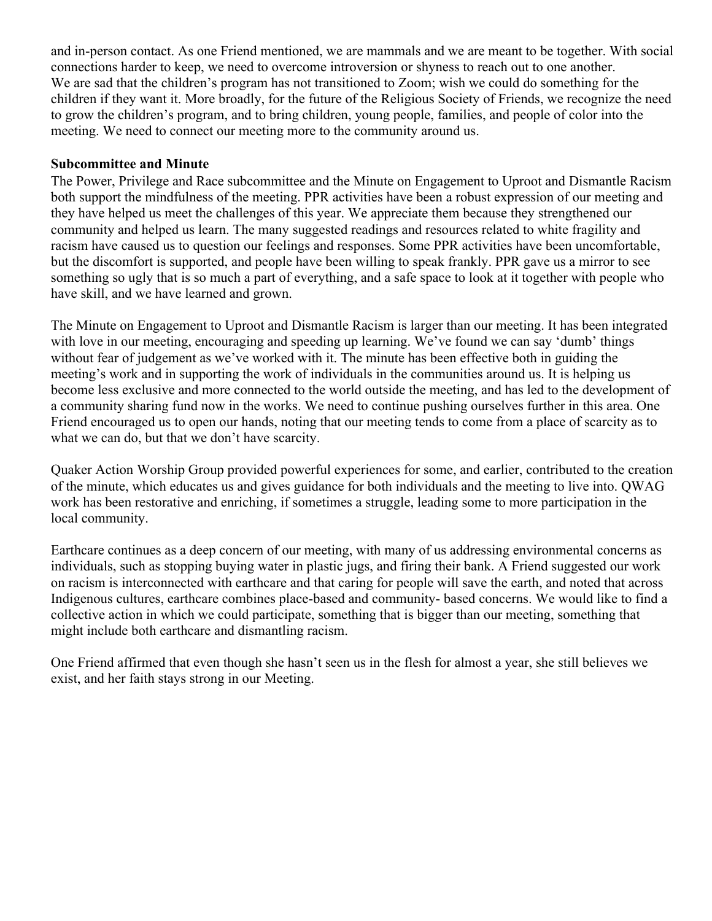and in-person contact. As one Friend mentioned, we are mammals and we are meant to be together. With social connections harder to keep, we need to overcome introversion or shyness to reach out to one another. We are sad that the children's program has not transitioned to Zoom; wish we could do something for the children if they want it. More broadly, for the future of the Religious Society of Friends, we recognize the need to grow the children's program, and to bring children, young people, families, and people of color into the meeting. We need to connect our meeting more to the community around us.

### **Subcommittee and Minute**

The Power, Privilege and Race subcommittee and the Minute on Engagement to Uproot and Dismantle Racism both support the mindfulness of the meeting. PPR activities have been a robust expression of our meeting and they have helped us meet the challenges of this year. We appreciate them because they strengthened our community and helped us learn. The many suggested readings and resources related to white fragility and racism have caused us to question our feelings and responses. Some PPR activities have been uncomfortable, but the discomfort is supported, and people have been willing to speak frankly. PPR gave us a mirror to see something so ugly that is so much a part of everything, and a safe space to look at it together with people who have skill, and we have learned and grown.

The Minute on Engagement to Uproot and Dismantle Racism is larger than our meeting. It has been integrated with love in our meeting, encouraging and speeding up learning. We've found we can say 'dumb' things without fear of judgement as we've worked with it. The minute has been effective both in guiding the meeting's work and in supporting the work of individuals in the communities around us. It is helping us become less exclusive and more connected to the world outside the meeting, and has led to the development of a community sharing fund now in the works. We need to continue pushing ourselves further in this area. One Friend encouraged us to open our hands, noting that our meeting tends to come from a place of scarcity as to what we can do, but that we don't have scarcity.

Quaker Action Worship Group provided powerful experiences for some, and earlier, contributed to the creation of the minute, which educates us and gives guidance for both individuals and the meeting to live into. QWAG work has been restorative and enriching, if sometimes a struggle, leading some to more participation in the local community.

Earthcare continues as a deep concern of our meeting, with many of us addressing environmental concerns as individuals, such as stopping buying water in plastic jugs, and firing their bank. A Friend suggested our work on racism is interconnected with earthcare and that caring for people will save the earth, and noted that across Indigenous cultures, earthcare combines place-based and community- based concerns. We would like to find a collective action in which we could participate, something that is bigger than our meeting, something that might include both earthcare and dismantling racism.

One Friend affirmed that even though she hasn't seen us in the flesh for almost a year, she still believes we exist, and her faith stays strong in our Meeting.